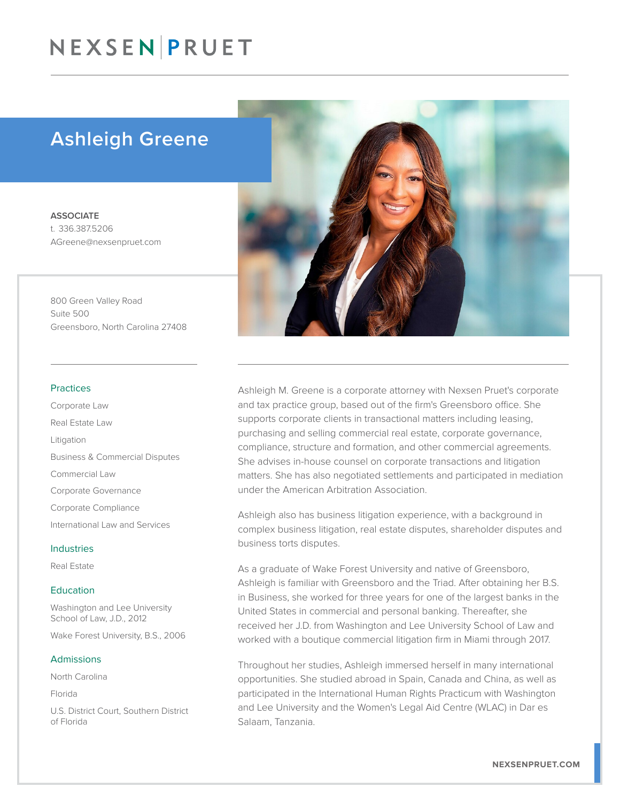# NEXSEN PRUET

# Ashleigh Greene

**ASSOCIATE** t. 336.387.5206 AGreene@nexsenpruet.com

800 Green Valley Road Suite 500 Greensboro, North Carolina 27408

#### Practices

Corporate Law Real Estate Law Litigation Business & Commercial Disputes Commercial Law Corporate Governance Corporate Compliance International Law and Services

### Industries

Real Estate

### **Education**

Washington and Lee University School of Law, J.D., 2012

Wake Forest University, B.S., 2006

#### Admissions

North Carolina

Florida

U.S. District Court, Southern District of Florida



Ashleigh M. Greene is a corporate attorney with Nexsen Pruet's corporate and tax practice group, based out of the firm's Greensboro office. She supports corporate clients in transactional matters including leasing, purchasing and selling commercial real estate, corporate governance, compliance, structure and formation, and other commercial agreements. She advises in-house counsel on corporate transactions and litigation matters. She has also negotiated settlements and participated in mediation under the American Arbitration Association.

Ashleigh also has business litigation experience, with a background in complex business litigation, real estate disputes, shareholder disputes and business torts disputes.

As a graduate of Wake Forest University and native of Greensboro, Ashleigh is familiar with Greensboro and the Triad. After obtaining her B.S. in Business, she worked for three years for one of the largest banks in the United States in commercial and personal banking. Thereafter, she received her J.D. from Washington and Lee University School of Law and worked with a boutique commercial litigation firm in Miami through 2017.

Throughout her studies, Ashleigh immersed herself in many international opportunities. She studied abroad in Spain, Canada and China, as well as participated in the International Human Rights Practicum with Washington and Lee University and the Women's Legal Aid Centre (WLAC) in Dar es Salaam, Tanzania.